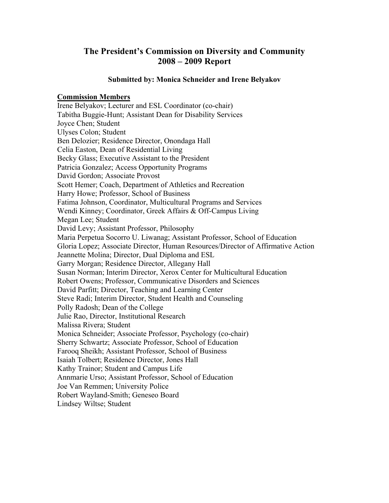## **The President's Commission on Diversity and Community 2008 – 2009 Report**

#### **Submitted by: Monica Schneider and Irene Belyakov**

#### **Commission Members**

Irene Belyakov; Lecturer and ESL Coordinator (co-chair) Tabitha Buggie-Hunt; Assistant Dean for Disability Services Joyce Chen; Student Ulyses Colon; Student Ben Delozier; Residence Director, Onondaga Hall Celia Easton, Dean of Residential Living Becky Glass; Executive Assistant to the President Patricia Gonzalez; Access Opportunity Programs David Gordon; Associate Provost Scott Hemer; Coach, Department of Athletics and Recreation Harry Howe; Professor, School of Business Fatima Johnson, Coordinator, Multicultural Programs and Services Wendi Kinney; Coordinator, Greek Affairs & Off-Campus Living Megan Lee; Student David Levy; Assistant Professor, Philosophy Maria Perpetua Socorro U. Liwanag; Assistant Professor, School of Education Gloria Lopez; Associate Director, Human Resources/Director of Affirmative Action Jeannette Molina; Director, Dual Diploma and ESL Garry Morgan; Residence Director, Allegany Hall Susan Norman; Interim Director, Xerox Center for Multicultural Education Robert Owens; Professor, Communicative Disorders and Sciences David Parfitt; Director, Teaching and Learning Center Steve Radi; Interim Director, Student Health and Counseling Polly Radosh; Dean of the College Julie Rao, Director, Institutional Research Malissa Rivera; Student Monica Schneider; Associate Professor, Psychology (co-chair) Sherry Schwartz; Associate Professor, School of Education Farooq Sheikh; Assistant Professor, School of Business Isaiah Tolbert; Residence Director, Jones Hall Kathy Trainor; Student and Campus Life Annmarie Urso; Assistant Professor, School of Education Joe Van Remmen; University Police Robert Wayland-Smith; Geneseo Board Lindsey Wiltse; Student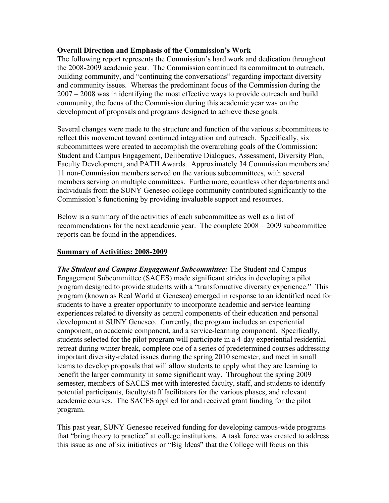#### **Overall Direction and Emphasis of the Commission's Work**

The following report represents the Commission's hard work and dedication throughout the 2008-2009 academic year. The Commission continued its commitment to outreach, building community, and "continuing the conversations" regarding important diversity and community issues. Whereas the predominant focus of the Commission during the 2007 – 2008 was in identifying the most effective ways to provide outreach and build community, the focus of the Commission during this academic year was on the development of proposals and programs designed to achieve these goals.

Several changes were made to the structure and function of the various subcommittees to reflect this movement toward continued integration and outreach. Specifically, six subcommittees were created to accomplish the overarching goals of the Commission: Student and Campus Engagement, Deliberative Dialogues, Assessment, Diversity Plan, Faculty Development, and PATH Awards. Approximately 34 Commission members and 11 non-Commission members served on the various subcommittees, with several members serving on multiple committees. Furthermore, countless other departments and individuals from the SUNY Geneseo college community contributed significantly to the Commission's functioning by providing invaluable support and resources.

Below is a summary of the activities of each subcommittee as well as a list of recommendations for the next academic year. The complete 2008 – 2009 subcommittee reports can be found in the appendices.

## **Summary of Activities: 2008-2009**

*The Student and Campus Engagement Subcommittee:* The Student and Campus Engagement Subcommittee (SACES) made significant strides in developing a pilot program designed to provide students with a "transformative diversity experience." This program (known as Real World at Geneseo) emerged in response to an identified need for students to have a greater opportunity to incorporate academic and service learning experiences related to diversity as central components of their education and personal development at SUNY Geneseo. Currently, the program includes an experiential component, an academic component, and a service-learning component. Specifically, students selected for the pilot program will participate in a 4-day experiential residential retreat during winter break, complete one of a series of predetermined courses addressing important diversity-related issues during the spring 2010 semester, and meet in small teams to develop proposals that will allow students to apply what they are learning to benefit the larger community in some significant way. Throughout the spring 2009 semester, members of SACES met with interested faculty, staff, and students to identify potential participants, faculty/staff facilitators for the various phases, and relevant academic courses. The SACES applied for and received grant funding for the pilot program.

This past year, SUNY Geneseo received funding for developing campus-wide programs that "bring theory to practice" at college institutions. A task force was created to address this issue as one of six initiatives or "Big Ideas" that the College will focus on this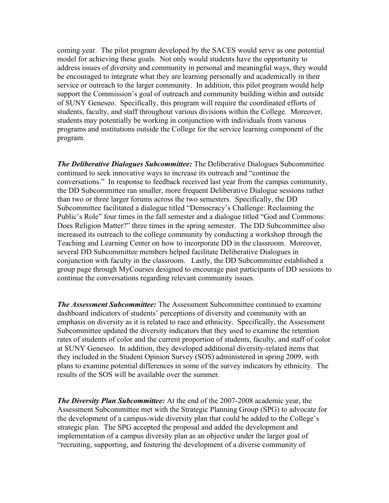coming year. The pilot program developed by the SACES would serve as one potential model for achieving these goals. Not only would students have the opportunity to address issues of diversity and community in personal and meaningful ways, they would be encouraged to integrate what they are learning personally and academically in their service or outreach to the larger community. In addition, this pilot program would help support the Commission's goal of outreach and community building within and outside of SUNY Geneseo. Specifically, this program will require the coordinated efforts of students, faculty, and staff throughout various divisions within the College. Moreover, students may potentially be working in conjunction with individuals from various programs and institutions outside the College for the service learning component of the program.

*The Deliberative Dialogues Subcommittee:* The Deliberative Dialogues Subcommittee continued to seek innovative ways to increase its outreach and "continue the conversations." In response to feedback received last year from the campus community, the DD Subcommittee ran smaller, more frequent Deliberative Dialogue sessions rather than two or three larger forums across the two semesters. Specifically, the DD Subcommittee facilitated a dialogue titled "Democracy's Challenge: Reclaiming the Public's Role" four times in the fall semester and a dialogue titled "God and Commons: Does Religion Matter?" three times in the spring semester. The DD Subcommittee also increased its outreach to the college community by conducting a workshop through the Teaching and Learning Center on how to incorporate DD in the classroom. Moreover, several DD Subcommittee members helped facilitate Deliberative Dialogues in conjunction with faculty in the classroom. Lastly, the DD Subcommittee established a group page through MyCourses designed to encourage past participants of DD sessions to continue the conversations regarding relevant community issues.

*The Assessment Subcommittee:* The Assessment Subcommittee continued to examine dashboard indicators of students' perceptions of diversity and community with an emphasis on diversity as it is related to race and ethnicity. Specifically, the Assessment Subcommittee updated the diversity indicators that they used to examine the retention rates of students of color and the current proportion of students, faculty, and staff of color at SUNY Geneseo. In addition, they developed additional diversity-related items that they included in the Student Opinion Survey (SOS) administered in spring 2009, with plans to examine potential differences in some of the survey indicators by ethnicity. The results of the SOS will be available over the summer.

*The Diversity Plan Subcommittee:* At the end of the 2007-2008 academic year, the Assessment Subcommittee met with the Strategic Planning Group (SPG) to advocate for the development of a campus-wide diversity plan that could be added to the College's strategic plan. The SPG accepted the proposal and added the development and implementation of a campus diversity plan as an objective under the larger goal of "recruiting, supporting, and fostering the development of a diverse community of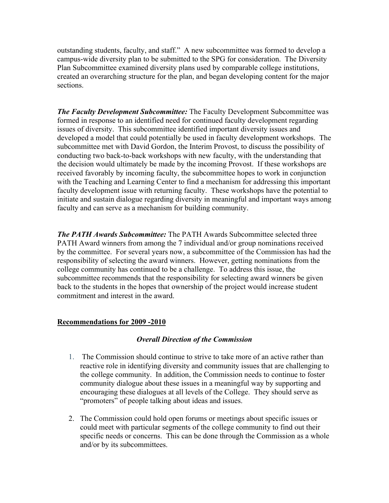outstanding students, faculty, and staff." A new subcommittee was formed to develop a campus-wide diversity plan to be submitted to the SPG for consideration. The Diversity Plan Subcommittee examined diversity plans used by comparable college institutions, created an overarching structure for the plan, and began developing content for the major sections.

*The Faculty Development Subcommittee:* The Faculty Development Subcommittee was formed in response to an identified need for continued faculty development regarding issues of diversity. This subcommittee identified important diversity issues and developed a model that could potentially be used in faculty development workshops. The subcommittee met with David Gordon, the Interim Provost, to discuss the possibility of conducting two back-to-back workshops with new faculty, with the understanding that the decision would ultimately be made by the incoming Provost. If these workshops are received favorably by incoming faculty, the subcommittee hopes to work in conjunction with the Teaching and Learning Center to find a mechanism for addressing this important faculty development issue with returning faculty. These workshops have the potential to initiate and sustain dialogue regarding diversity in meaningful and important ways among faculty and can serve as a mechanism for building community.

*The PATH Awards Subcommittee:* The PATH Awards Subcommittee selected three PATH Award winners from among the 7 individual and/or group nominations received by the committee. For several years now, a subcommittee of the Commission has had the responsibility of selecting the award winners. However, getting nominations from the college community has continued to be a challenge. To address this issue, the subcommittee recommends that the responsibility for selecting award winners be given back to the students in the hopes that ownership of the project would increase student commitment and interest in the award.

#### **Recommendations for 2009 -2010**

#### *Overall Direction of the Commission*

- 1. The Commission should continue to strive to take more of an active rather than reactive role in identifying diversity and community issues that are challenging to the college community. In addition, the Commission needs to continue to foster community dialogue about these issues in a meaningful way by supporting and encouraging these dialogues at all levels of the College. They should serve as "promoters" of people talking about ideas and issues.
- 2. The Commission could hold open forums or meetings about specific issues or could meet with particular segments of the college community to find out their specific needs or concerns. This can be done through the Commission as a whole and/or by its subcommittees.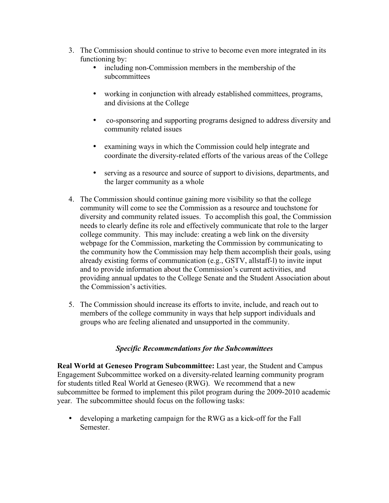- 3. The Commission should continue to strive to become even more integrated in its functioning by:
	- including non-Commission members in the membership of the subcommittees
	- working in conjunction with already established committees, programs, and divisions at the College
	- co-sponsoring and supporting programs designed to address diversity and community related issues
	- examining ways in which the Commission could help integrate and coordinate the diversity-related efforts of the various areas of the College
	- serving as a resource and source of support to divisions, departments, and the larger community as a whole
- 4. The Commission should continue gaining more visibility so that the college community will come to see the Commission as a resource and touchstone for diversity and community related issues. To accomplish this goal, the Commission needs to clearly define its role and effectively communicate that role to the larger college community. This may include: creating a web link on the diversity webpage for the Commission, marketing the Commission by communicating to the community how the Commission may help them accomplish their goals, using already existing forms of communication (e.g., GSTV, allstaff-l) to invite input and to provide information about the Commission's current activities, and providing annual updates to the College Senate and the Student Association about the Commission's activities.
- 5. The Commission should increase its efforts to invite, include, and reach out to members of the college community in ways that help support individuals and groups who are feeling alienated and unsupported in the community.

#### *Specific Recommendations for the Subcommittees*

**Real World at Geneseo Program Subcommittee:** Last year, the Student and Campus Engagement Subcommittee worked on a diversity-related learning community program for students titled Real World at Geneseo (RWG). We recommend that a new subcommittee be formed to implement this pilot program during the 2009-2010 academic year. The subcommittee should focus on the following tasks:

• developing a marketing campaign for the RWG as a kick-off for the Fall Semester.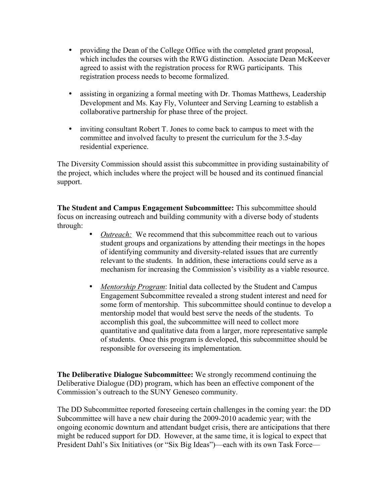- providing the Dean of the College Office with the completed grant proposal, which includes the courses with the RWG distinction. Associate Dean McKeever agreed to assist with the registration process for RWG participants. This registration process needs to become formalized.
- assisting in organizing a formal meeting with Dr. Thomas Matthews, Leadership Development and Ms. Kay Fly, Volunteer and Serving Learning to establish a collaborative partnership for phase three of the project.
- inviting consultant Robert T. Jones to come back to campus to meet with the committee and involved faculty to present the curriculum for the 3.5-day residential experience.

The Diversity Commission should assist this subcommittee in providing sustainability of the project, which includes where the project will be housed and its continued financial support.

**The Student and Campus Engagement Subcommittee:** This subcommittee should focus on increasing outreach and building community with a diverse body of students through:

- *Outreach:* We recommend that this subcommittee reach out to various student groups and organizations by attending their meetings in the hopes of identifying community and diversity-related issues that are currently relevant to the students. In addition, these interactions could serve as a mechanism for increasing the Commission's visibility as a viable resource.
- *Mentorship Program*: Initial data collected by the Student and Campus Engagement Subcommittee revealed a strong student interest and need for some form of mentorship. This subcommittee should continue to develop a mentorship model that would best serve the needs of the students. To accomplish this goal, the subcommittee will need to collect more quantitative and qualitative data from a larger, more representative sample of students. Once this program is developed, this subcommittee should be responsible for overseeing its implementation.

**The Deliberative Dialogue Subcommittee:** We strongly recommend continuing the Deliberative Dialogue (DD) program, which has been an effective component of the Commission's outreach to the SUNY Geneseo community.

The DD Subcommittee reported foreseeing certain challenges in the coming year: the DD Subcommittee will have a new chair during the 2009-2010 academic year; with the ongoing economic downturn and attendant budget crisis, there are anticipations that there might be reduced support for DD. However, at the same time, it is logical to expect that President Dahl's Six Initiatives (or "Six Big Ideas")—each with its own Task Force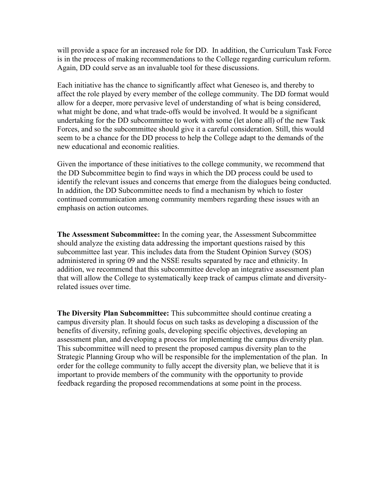will provide a space for an increased role for DD. In addition, the Curriculum Task Force is in the process of making recommendations to the College regarding curriculum reform. Again, DD could serve as an invaluable tool for these discussions.

Each initiative has the chance to significantly affect what Geneseo is, and thereby to affect the role played by every member of the college community. The DD format would allow for a deeper, more pervasive level of understanding of what is being considered, what might be done, and what trade-offs would be involved. It would be a significant undertaking for the DD subcommittee to work with some (let alone all) of the new Task Forces, and so the subcommittee should give it a careful consideration. Still, this would seem to be a chance for the DD process to help the College adapt to the demands of the new educational and economic realities.

Given the importance of these initiatives to the college community, we recommend that the DD Subcommittee begin to find ways in which the DD process could be used to identify the relevant issues and concerns that emerge from the dialogues being conducted. In addition, the DD Subcommittee needs to find a mechanism by which to foster continued communication among community members regarding these issues with an emphasis on action outcomes.

**The Assessment Subcommittee:** In the coming year, the Assessment Subcommittee should analyze the existing data addressing the important questions raised by this subcommittee last year. This includes data from the Student Opinion Survey (SOS) administered in spring 09 and the NSSE results separated by race and ethnicity. In addition, we recommend that this subcommittee develop an integrative assessment plan that will allow the College to systematically keep track of campus climate and diversityrelated issues over time.

**The Diversity Plan Subcommittee:** This subcommittee should continue creating a campus diversity plan. It should focus on such tasks as developing a discussion of the benefits of diversity, refining goals, developing specific objectives, developing an assessment plan, and developing a process for implementing the campus diversity plan. This subcommittee will need to present the proposed campus diversity plan to the Strategic Planning Group who will be responsible for the implementation of the plan. In order for the college community to fully accept the diversity plan, we believe that it is important to provide members of the community with the opportunity to provide feedback regarding the proposed recommendations at some point in the process.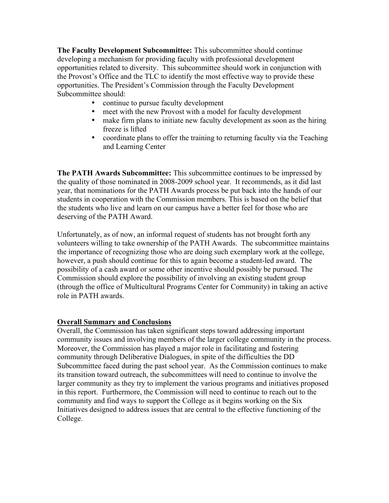**The Faculty Development Subcommittee:** This subcommittee should continue developing a mechanism for providing faculty with professional development opportunities related to diversity. This subcommittee should work in conjunction with the Provost's Office and the TLC to identify the most effective way to provide these opportunities. The President's Commission through the Faculty Development Subcommittee should:

- continue to pursue faculty development<br>• meet with the new Provost with a model
- meet with the new Provost with a model for faculty development<br>• make firm plans to initiate new faculty development as soon as the
- make firm plans to initiate new faculty development as soon as the hiring freeze is lifted
- coordinate plans to offer the training to returning faculty via the Teaching and Learning Center

**The PATH Awards Subcommittee:** This subcommittee continues to be impressed by the quality of those nominated in 2008-2009 school year. It recommends, as it did last year, that nominations for the PATH Awards process be put back into the hands of our students in cooperation with the Commission members. This is based on the belief that the students who live and learn on our campus have a better feel for those who are deserving of the PATH Award.

Unfortunately, as of now, an informal request of students has not brought forth any volunteers willing to take ownership of the PATH Awards. The subcommittee maintains the importance of recognizing those who are doing such exemplary work at the college, however, a push should continue for this to again become a student-led award. The possibility of a cash award or some other incentive should possibly be pursued. The Commission should explore the possibility of involving an existing student group (through the office of Multicultural Programs Center for Community) in taking an active role in PATH awards.

#### **Overall Summary and Conclusions**

Overall, the Commission has taken significant steps toward addressing important community issues and involving members of the larger college community in the process. Moreover, the Commission has played a major role in facilitating and fostering community through Deliberative Dialogues, in spite of the difficulties the DD Subcommittee faced during the past school year. As the Commission continues to make its transition toward outreach, the subcommittees will need to continue to involve the larger community as they try to implement the various programs and initiatives proposed in this report. Furthermore, the Commission will need to continue to reach out to the community and find ways to support the College as it begins working on the Six Initiatives designed to address issues that are central to the effective functioning of the College.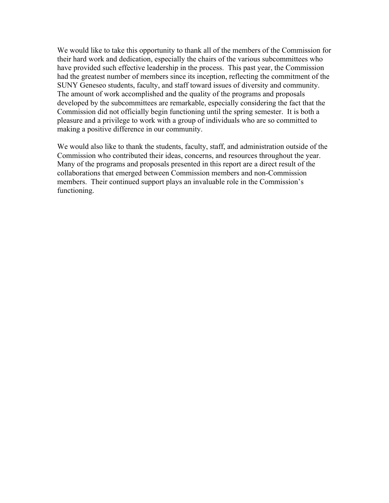We would like to take this opportunity to thank all of the members of the Commission for their hard work and dedication, especially the chairs of the various subcommittees who have provided such effective leadership in the process. This past year, the Commission had the greatest number of members since its inception, reflecting the commitment of the SUNY Geneseo students, faculty, and staff toward issues of diversity and community. The amount of work accomplished and the quality of the programs and proposals developed by the subcommittees are remarkable, especially considering the fact that the Commission did not officially begin functioning until the spring semester. It is both a pleasure and a privilege to work with a group of individuals who are so committed to making a positive difference in our community.

We would also like to thank the students, faculty, staff, and administration outside of the Commission who contributed their ideas, concerns, and resources throughout the year. Many of the programs and proposals presented in this report are a direct result of the collaborations that emerged between Commission members and non-Commission members. Their continued support plays an invaluable role in the Commission's functioning.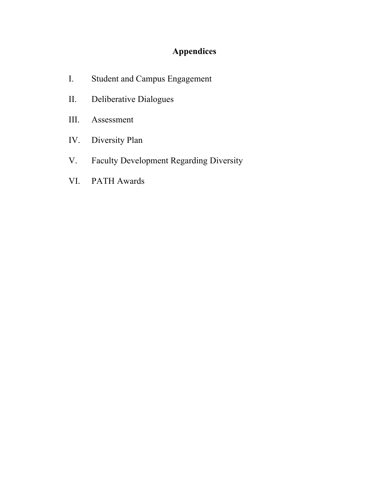# **Appendices**

- I. Student and Campus Engagement
- II. Deliberative Dialogues
- III. Assessment
- IV. Diversity Plan
- V. Faculty Development Regarding Diversity
- VI. PATH Awards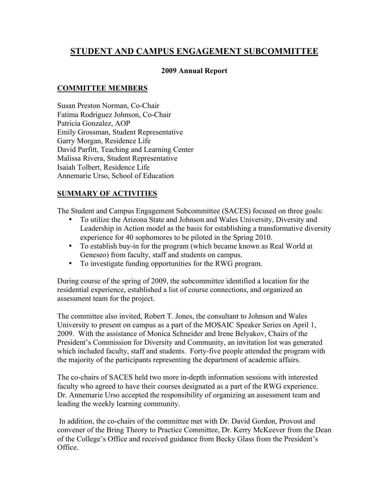## **STUDENT AND CAMPUS ENGAGEMENT SUBCOMMITTEE**

#### **2009 Annual Report**

## **COMMITTEE MEMBERS**

Susan Preston Norman, Co-Chair Fatima Rodriguez Johnson, Co-Chair Patricia Gonzalez, AOP Emily Grossman, Student Representative Garry Morgan, Residence Life David Parfitt, Teaching and Learning Center Malissa Rivera, Student Representative Isaiah Tolbert, Residence Life Annemarie Urso, School of Education

## **SUMMARY OF ACTIVITIES**

The Student and Campus Engagement Subcommittee (SACES) focused on three goals:

- To utilize the Arizona State and Johnson and Wales University, Diversity and Leadership in Action model as the basis for establishing a transformative diversity experience for 40 sophomores to be piloted in the Spring 2010.
- To establish buy-in for the program (which became known as Real World at Geneseo) from faculty, staff and students on campus.
- To investigate funding opportunities for the RWG program.

During course of the spring of 2009, the subcommittee identified a location for the residential experience, established a list of course connections, and organized an assessment team for the project.

The committee also invited, Robert T. Jones, the consultant to Johnson and Wales University to present on campus as a part of the MOSAIC Speaker Series on April 1, 2009. With the assistance of Monica Schneider and Irene Belyakov, Chairs of the President's Commission for Diversity and Community, an invitation list was generated which included faculty, staff and students. Forty-five people attended the program with the majority of the participants representing the department of academic affairs.

The co-chairs of SACES held two more in-depth information sessions with interested faculty who agreed to have their courses designated as a part of the RWG experience. Dr. Annemarie Urso accepted the responsibility of organizing an assessment team and leading the weekly learning community.

 In addition, the co-chairs of the committee met with Dr. David Gordon, Provost and convener of the Bring Theory to Practice Committee, Dr. Kerry McKeever from the Dean of the College's Office and received guidance from Becky Glass from the President's Office.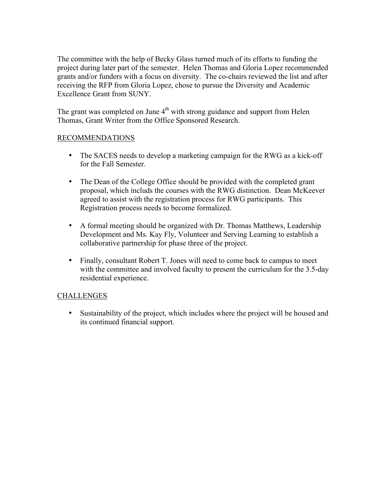The committee with the help of Becky Glass turned much of its efforts to funding the project during later part of the semester. Helen Thomas and Gloria Lopez recommended grants and/or funders with a focus on diversity. The co-chairs reviewed the list and after receiving the RFP from Gloria Lopez, chose to pursue the Diversity and Academic Excellence Grant from SUNY.

The grant was completed on June  $4<sup>th</sup>$  with strong guidance and support from Helen Thomas, Grant Writer from the Office Sponsored Research.

#### RECOMMENDATIONS

- The SACES needs to develop a marketing campaign for the RWG as a kick-off for the Fall Semester.
- The Dean of the College Office should be provided with the completed grant proposal, which includs the courses with the RWG distinction. Dean McKeever agreed to assist with the registration process for RWG participants. This Registration process needs to become formalized.
- A formal meeting should be organized with Dr. Thomas Matthews, Leadership Development and Ms. Kay Fly, Volunteer and Serving Learning to establish a collaborative partnership for phase three of the project.
- Finally, consultant Robert T. Jones will need to come back to campus to meet with the committee and involved faculty to present the curriculum for the 3.5-day residential experience.

#### **CHALLENGES**

• Sustainability of the project, which includes where the project will be housed and its continued financial support.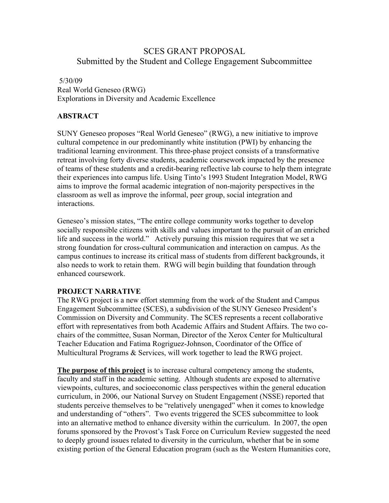## SCES GRANT PROPOSAL Submitted by the Student and College Engagement Subcommittee

## 5/30/09 Real World Geneseo (RWG) Explorations in Diversity and Academic Excellence

## **ABSTRACT**

SUNY Geneseo proposes "Real World Geneseo" (RWG), a new initiative to improve cultural competence in our predominantly white institution (PWI) by enhancing the traditional learning environment. This three-phase project consists of a transformative retreat involving forty diverse students, academic coursework impacted by the presence of teams of these students and a credit-bearing reflective lab course to help them integrate their experiences into campus life. Using Tinto's 1993 Student Integration Model, RWG aims to improve the formal academic integration of non-majority perspectives in the classroom as well as improve the informal, peer group, social integration and interactions.

Geneseo's mission states, "The entire college community works together to develop socially responsible citizens with skills and values important to the pursuit of an enriched life and success in the world." Actively pursuing this mission requires that we set a strong foundation for cross-cultural communication and interaction on campus. As the campus continues to increase its critical mass of students from different backgrounds, it also needs to work to retain them. RWG will begin building that foundation through enhanced coursework.

#### **PROJECT NARRATIVE**

The RWG project is a new effort stemming from the work of the Student and Campus Engagement Subcommittee (SCES), a subdivision of the SUNY Geneseo President's Commission on Diversity and Community. The SCES represents a recent collaborative effort with representatives from both Academic Affairs and Student Affairs. The two cochairs of the committee, Susan Norman, Director of the Xerox Center for Multicultural Teacher Education and Fatima Rogriguez-Johnson, Coordinator of the Office of Multicultural Programs & Services, will work together to lead the RWG project.

**The purpose of this project** is to increase cultural competency among the students, faculty and staff in the academic setting. Although students are exposed to alternative viewpoints, cultures, and socioeconomic class perspectives within the general education curriculum, in 2006, our National Survey on Student Engagement (NSSE) reported that students perceive themselves to be "relatively unengaged" when it comes to knowledge and understanding of "others". Two events triggered the SCES subcommittee to look into an alternative method to enhance diversity within the curriculum. In 2007, the open forums sponsored by the Provost's Task Force on Curriculum Review suggested the need to deeply ground issues related to diversity in the curriculum, whether that be in some existing portion of the General Education program (such as the Western Humanities core,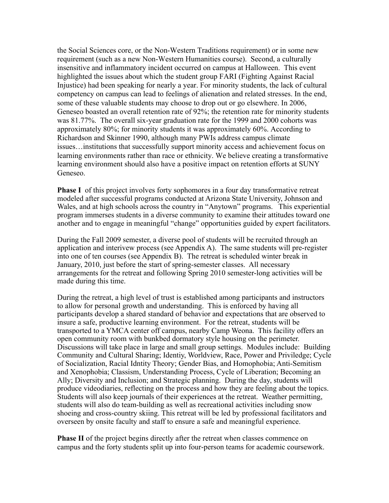the Social Sciences core, or the Non-Western Traditions requirement) or in some new requirement (such as a new Non-Western Humanities course). Second, a culturally insensitive and inflammatory incident occurred on campus at Halloween. This event highlighted the issues about which the student group FARI (Fighting Against Racial Injustice) had been speaking for nearly a year. For minority students, the lack of cultural competency on campus can lead to feelings of alienation and related stresses. In the end, some of these valuable students may choose to drop out or go elsewhere. In 2006, Geneseo boasted an overall retention rate of 92%; the retention rate for minority students was 81.77%. The overall six-year graduation rate for the 1999 and 2000 cohorts was approximately 80%; for minority students it was approximately 60%. According to Richardson and Skinner 1990, although many PWIs address campus climate issues…institutions that successfully support minority access and achievement focus on learning environments rather than race or ethnicity. We believe creating a transformative learning environment should also have a positive impact on retention efforts at SUNY Geneseo.

**Phase I** of this project involves forty sophomores in a four day transformative retreat modeled after successful programs conducted at Arizona State University, Johnson and Wales, and at high schools across the country in "Anytown" programs. This experiential program immerses students in a diverse community to examine their attitudes toward one another and to engage in meaningful "change" opportunities guided by expert facilitators.

During the Fall 2009 semester, a diverse pool of students will be recruited through an application and interivew process (see Appendix A). The same students will pre-register into one of ten courses (see Appendix B). The retreat is scheduled winter break in January, 2010, just before the start of spring-semester classes. All necessary arrangements for the retreat and following Spring 2010 semester-long activities will be made during this time.

During the retreat, a high level of trust is established among participants and instructors to allow for personal growth and understanding. This is enforced by having all participants develop a shared standard of behavior and expectations that are observed to insure a safe, productive learning environment. For the retreat, students will be transported to a YMCA center off campus, nearby Camp Weona. This facility offers an open community room with bunkbed dormatory style housing on the perimeter. Discussions will take place in large and small group settings. Modules include: Building Community and Cultural Sharing; Identiy, Worldview, Race, Power and Priviledge; Cycle of Socialization, Racial Idntity Theory; Gender Bias, and Homophobia; Anti-Semitism and Xenophobia; Classism, Understanding Process, Cycle of Liberation; Becoming an Ally; Diversity and Inclusion; and Strategic planning. During the day, students will produce videodiaries, reflecting on the process and how they are feeling about the topics. Students will also keep journals of their experiences at the retreat. Weather permitting, students will also do team-building as well as recreational activities including snow shoeing and cross-country skiing. This retreat will be led by professional facilitators and overseen by onsite faculty and staff to ensure a safe and meaningful experience.

**Phase II** of the project begins directly after the retreat when classes commence on campus and the forty students split up into four-person teams for academic coursework.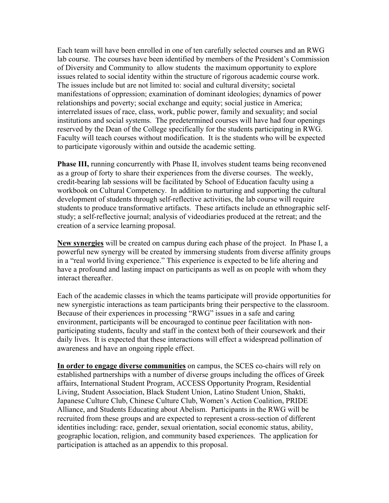Each team will have been enrolled in one of ten carefully selected courses and an RWG lab course. The courses have been identified by members of the President's Commission of Diversity and Community to allow students the maximum opportunity to explore issues related to social identity within the structure of rigorous academic course work. The issues include but are not limited to: social and cultural diversity; societal manifestations of oppression; examination of dominant ideologies; dynamics of power relationships and poverty; social exchange and equity; social justice in America; interrelated issues of race, class, work, public power, family and sexuality; and social institutions and social systems. The predetermined courses will have had four openings reserved by the Dean of the College specifically for the students participating in RWG. Faculty will teach courses without modification. It is the students who will be expected to participate vigorously within and outside the academic setting.

**Phase III,** running concurrently with Phase II, involves student teams being reconvened as a group of forty to share their experiences from the diverse courses. The weekly, credit-bearing lab sessions will be facilitated by School of Education faculty using a workbook on Cultural Competency. In addition to nurturing and supporting the cultural development of students through self-reflective activities, the lab course will require students to produce transformative artifacts. These artifacts include an ethnographic selfstudy; a self-reflective journal; analysis of videodiaries produced at the retreat; and the creation of a service learning proposal.

**New synergies** will be created on campus during each phase of the project. In Phase I, a powerful new synergy will be created by immersing students from diverse affinity groups in a "real world living experience." This experience is expected to be life altering and have a profound and lasting impact on participants as well as on people with whom they interact thereafter.

Each of the academic classes in which the teams participate will provide opportunities for new synergistic interactions as team participants bring their perspective to the classroom. Because of their experiences in processing "RWG" issues in a safe and caring environment, participants will be encouraged to continue peer facilitation with nonparticipating students, faculty and staff in the context both of their coursework and their daily lives. It is expected that these interactions will effect a widespread pollination of awareness and have an ongoing ripple effect.

**In order to engage diverse communities** on campus, the SCES co-chairs will rely on established partnerships with a number of diverse groups including the offices of Greek affairs, International Student Program, ACCESS Opportunity Program, Residential Living, Student Association, Black Student Union, Latino Student Union, Shakti, Japanese Culture Club, Chinese Culture Club, Women's Action Coalition, PRIDE Alliance, and Students Educating about Abelism. Participants in the RWG will be recruited from these groups and are expected to represent a cross-section of different identities including: race, gender, sexual orientation, social economic status, ability, geographic location, religion, and community based experiences. The application for participation is attached as an appendix to this proposal.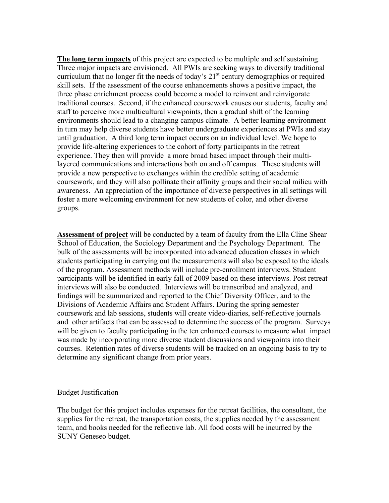**The long term impacts** of this project are expected to be multiple and self sustaining. Three major impacts are envisioned. All PWIs are seeking ways to diversify traditional curriculum that no longer fit the needs of today's  $21<sup>st</sup>$  century demographics or required skill sets. If the assessment of the course enhancements shows a positive impact, the three phase enrichment process could become a model to reinvent and reinvigorate traditional courses. Second, if the enhanced coursework causes our students, faculty and staff to perceive more multicultural viewpoints, then a gradual shift of the learning environments should lead to a changing campus climate. A better learning environment in turn may help diverse students have better undergraduate experiences at PWIs and stay until graduation. A third long term impact occurs on an individual level. We hope to provide life-altering experiences to the cohort of forty participants in the retreat experience. They then will provide a more broad based impact through their multilayered communications and interactions both on and off campus. These students will provide a new perspective to exchanges within the credible setting of academic coursework, and they will also pollinate their affinity groups and their social milieu with awareness. An appreciation of the importance of diverse perspectives in all settings will foster a more welcoming environment for new students of color, and other diverse groups.

**Assessment of project** will be conducted by a team of faculty from the Ella Cline Shear School of Education, the Sociology Department and the Psychology Department. The bulk of the assessments will be incorporated into advanced education classes in which students participating in carrying out the measurements will also be exposed to the ideals of the program. Assessment methods will include pre-enrollment interviews. Student participants will be identified in early fall of 2009 based on these interviews. Post retreat interviews will also be conducted. Interviews will be transcribed and analyzed, and findings will be summarized and reported to the Chief Diversity Officer, and to the Divisions of Academic Affairs and Student Affairs. During the spring semester coursework and lab sessions, students will create video-diaries, self-reflective journals and other artifacts that can be assessed to determine the success of the program. Surveys will be given to faculty participating in the ten enhanced courses to measure what impact was made by incorporating more diverse student discussions and viewpoints into their courses. Retention rates of diverse students will be tracked on an ongoing basis to try to determine any significant change from prior years.

#### Budget Justification

The budget for this project includes expenses for the retreat facilities, the consultant, the supplies for the retreat, the transportation costs, the supplies needed by the assessment team, and books needed for the reflective lab. All food costs will be incurred by the SUNY Geneseo budget.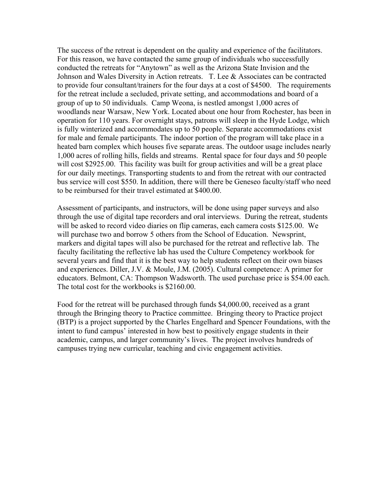The success of the retreat is dependent on the quality and experience of the facilitators. For this reason, we have contacted the same group of individuals who successfully conducted the retreats for "Anytown" as well as the Arizona State Invision and the Johnson and Wales Diversity in Action retreats. T. Lee & Associates can be contracted to provide four consultant/trainers for the four days at a cost of \$4500. The requirements for the retreat include a secluded, private setting, and accommodations and board of a group of up to 50 individuals. Camp Weona, is nestled amongst 1,000 acres of woodlands near Warsaw, New York. Located about one hour from Rochester, has been in operation for 110 years. For overnight stays, patrons will sleep in the Hyde Lodge, which is fully winterized and accommodates up to 50 people. Separate accommodations exist for male and female participants. The indoor portion of the program will take place in a heated barn complex which houses five separate areas. The outdoor usage includes nearly 1,000 acres of rolling hills, fields and streams. Rental space for four days and 50 people will cost \$2925.00. This facility was built for group activities and will be a great place for our daily meetings. Transporting students to and from the retreat with our contracted bus service will cost \$550. In addition, there will there be Geneseo faculty/staff who need to be reimbursed for their travel estimated at \$400.00.

Assessment of participants, and instructors, will be done using paper surveys and also through the use of digital tape recorders and oral interviews. During the retreat, students will be asked to record video diaries on flip cameras, each camera costs \$125.00. We will purchase two and borrow 5 others from the School of Education. Newsprint, markers and digital tapes will also be purchased for the retreat and reflective lab. The faculty facilitating the reflective lab has used the Culture Competency workbook for several years and find that it is the best way to help students reflect on their own biases and experiences. Diller, J.V. & Moule, J.M. (2005). Cultural competence: A primer for educators. Belmont, CA: Thompson Wadsworth. The used purchase price is \$54.00 each. The total cost for the workbooks is \$2160.00.

Food for the retreat will be purchased through funds \$4,000.00, received as a grant through the Bringing theory to Practice committee. Bringing theory to Practice project (BTP) is a project supported by the Charles Engelhard and Spencer Foundations, with the intent to fund campus' interested in how best to positively engage students in their academic, campus, and larger community's lives. The project involves hundreds of campuses trying new curricular, teaching and civic engagement activities.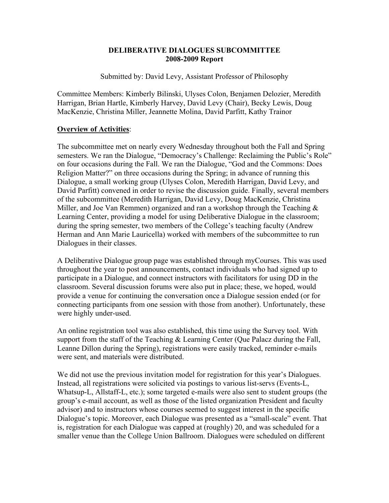#### **DELIBERATIVE DIALOGUES SUBCOMMITTEE 2008-2009 Report**

Submitted by: David Levy, Assistant Professor of Philosophy

Committee Members: Kimberly Bilinski, Ulyses Colon, Benjamen Delozier, Meredith Harrigan, Brian Hartle, Kimberly Harvey, David Levy (Chair), Becky Lewis, Doug MacKenzie, Christina Miller, Jeannette Molina, David Parfitt, Kathy Trainor

#### **Overview of Activities**:

The subcommittee met on nearly every Wednesday throughout both the Fall and Spring semesters. We ran the Dialogue, "Democracy's Challenge: Reclaiming the Public's Role" on four occasions during the Fall. We ran the Dialogue, "God and the Commons: Does Religion Matter?" on three occasions during the Spring; in advance of running this Dialogue, a small working group (Ulyses Colon, Meredith Harrigan, David Levy, and David Parfitt) convened in order to revise the discussion guide. Finally, several members of the subcommittee (Meredith Harrigan, David Levy, Doug MacKenzie, Christina Miller, and Joe Van Remmen) organized and ran a workshop through the Teaching  $\&$ Learning Center, providing a model for using Deliberative Dialogue in the classroom; during the spring semester, two members of the College's teaching faculty (Andrew Herman and Ann Marie Lauricella) worked with members of the subcommittee to run Dialogues in their classes.

A Deliberative Dialogue group page was established through myCourses. This was used throughout the year to post announcements, contact individuals who had signed up to participate in a Dialogue, and connect instructors with facilitators for using DD in the classroom. Several discussion forums were also put in place; these, we hoped, would provide a venue for continuing the conversation once a Dialogue session ended (or for connecting participants from one session with those from another). Unfortunately, these were highly under-used.

An online registration tool was also established, this time using the Survey tool. With support from the staff of the Teaching  $&$  Learning Center (Que Palacz during the Fall, Leanne Dillon during the Spring), registrations were easily tracked, reminder e-mails were sent, and materials were distributed.

We did not use the previous invitation model for registration for this year's Dialogues. Instead, all registrations were solicited via postings to various list-servs (Events-L, Whatsup-L, Allstaff-L, etc.); some targeted e-mails were also sent to student groups (the group's e-mail account, as well as those of the listed organization President and faculty advisor) and to instructors whose courses seemed to suggest interest in the specific Dialogue's topic. Moreover, each Dialogue was presented as a "small-scale" event. That is, registration for each Dialogue was capped at (roughly) 20, and was scheduled for a smaller venue than the College Union Ballroom. Dialogues were scheduled on different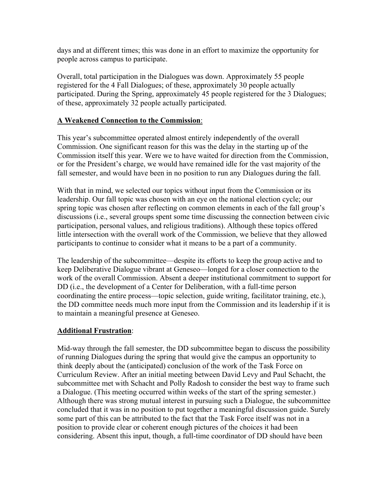days and at different times; this was done in an effort to maximize the opportunity for people across campus to participate.

Overall, total participation in the Dialogues was down. Approximately 55 people registered for the 4 Fall Dialogues; of these, approximately 30 people actually participated. During the Spring, approximately 45 people registered for the 3 Dialogues; of these, approximately 32 people actually participated.

#### **A Weakened Connection to the Commission**:

This year's subcommittee operated almost entirely independently of the overall Commission. One significant reason for this was the delay in the starting up of the Commission itself this year. Were we to have waited for direction from the Commission, or for the President's charge, we would have remained idle for the vast majority of the fall semester, and would have been in no position to run any Dialogues during the fall.

With that in mind, we selected our topics without input from the Commission or its leadership. Our fall topic was chosen with an eye on the national election cycle; our spring topic was chosen after reflecting on common elements in each of the fall group's discussions (i.e., several groups spent some time discussing the connection between civic participation, personal values, and religious traditions). Although these topics offered little intersection with the overall work of the Commission, we believe that they allowed participants to continue to consider what it means to be a part of a community.

The leadership of the subcommittee—despite its efforts to keep the group active and to keep Deliberative Dialogue vibrant at Geneseo—longed for a closer connection to the work of the overall Commission. Absent a deeper institutional commitment to support for DD (i.e., the development of a Center for Deliberation, with a full-time person coordinating the entire process—topic selection, guide writing, facilitator training, etc.), the DD committee needs much more input from the Commission and its leadership if it is to maintain a meaningful presence at Geneseo.

#### **Additional Frustration**:

Mid-way through the fall semester, the DD subcommittee began to discuss the possibility of running Dialogues during the spring that would give the campus an opportunity to think deeply about the (anticipated) conclusion of the work of the Task Force on Curriculum Review. After an initial meeting between David Levy and Paul Schacht, the subcommittee met with Schacht and Polly Radosh to consider the best way to frame such a Dialogue. (This meeting occurred within weeks of the start of the spring semester.) Although there was strong mutual interest in pursuing such a Dialogue, the subcommittee concluded that it was in no position to put together a meaningful discussion guide. Surely some part of this can be attributed to the fact that the Task Force itself was not in a position to provide clear or coherent enough pictures of the choices it had been considering. Absent this input, though, a full-time coordinator of DD should have been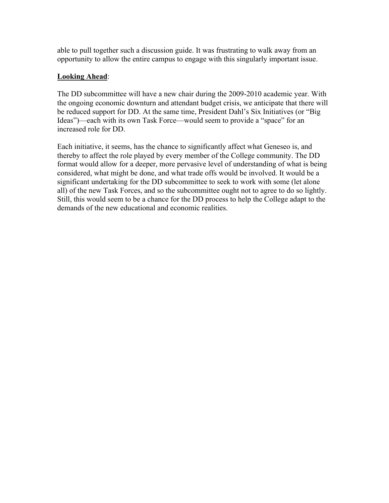able to pull together such a discussion guide. It was frustrating to walk away from an opportunity to allow the entire campus to engage with this singularly important issue.

## **Looking Ahead**:

The DD subcommittee will have a new chair during the 2009-2010 academic year. With the ongoing economic downturn and attendant budget crisis, we anticipate that there will be reduced support for DD. At the same time, President Dahl's Six Initiatives (or "Big Ideas")—each with its own Task Force—would seem to provide a "space" for an increased role for DD.

Each initiative, it seems, has the chance to significantly affect what Geneseo is, and thereby to affect the role played by every member of the College community. The DD format would allow for a deeper, more pervasive level of understanding of what is being considered, what might be done, and what trade offs would be involved. It would be a significant undertaking for the DD subcommittee to seek to work with some (let alone all) of the new Task Forces, and so the subcommittee ought not to agree to do so lightly. Still, this would seem to be a chance for the DD process to help the College adapt to the demands of the new educational and economic realities.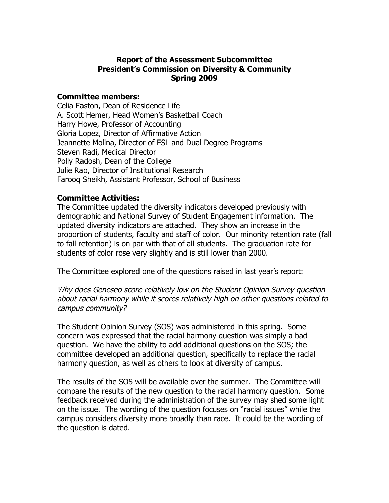## **Report of the Assessment Subcommittee President's Commission on Diversity & Community Spring 2009**

#### **Committee members:**

Celia Easton, Dean of Residence Life A. Scott Hemer, Head Women's Basketball Coach Harry Howe, Professor of Accounting Gloria Lopez, Director of Affirmative Action Jeannette Molina, Director of ESL and Dual Degree Programs Steven Radi, Medical Director Polly Radosh, Dean of the College Julie Rao, Director of Institutional Research Farooq Sheikh, Assistant Professor, School of Business

## **Committee Activities:**

The Committee updated the diversity indicators developed previously with demographic and National Survey of Student Engagement information. The updated diversity indicators are attached. They show an increase in the proportion of students, faculty and staff of color. Our minority retention rate (fall to fall retention) is on par with that of all students. The graduation rate for students of color rose very slightly and is still lower than 2000.

The Committee explored one of the questions raised in last year's report:

Why does Geneseo score relatively low on the Student Opinion Survey question about racial harmony while it scores relatively high on other questions related to campus community?

The Student Opinion Survey (SOS) was administered in this spring. Some concern was expressed that the racial harmony question was simply a bad question. We have the ability to add additional questions on the SOS; the committee developed an additional question, specifically to replace the racial harmony question, as well as others to look at diversity of campus.

The results of the SOS will be available over the summer. The Committee will compare the results of the new question to the racial harmony question. Some feedback received during the administration of the survey may shed some light on the issue. The wording of the question focuses on "racial issues" while the campus considers diversity more broadly than race. It could be the wording of the question is dated.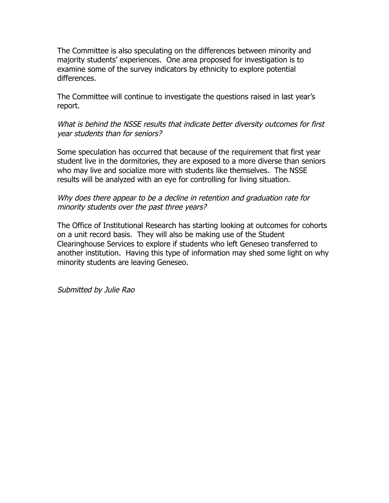The Committee is also speculating on the differences between minority and majority students' experiences. One area proposed for investigation is to examine some of the survey indicators by ethnicity to explore potential differences.

The Committee will continue to investigate the questions raised in last year's report.

What is behind the NSSE results that indicate better diversity outcomes for first year students than for seniors?

Some speculation has occurred that because of the requirement that first year student live in the dormitories, they are exposed to a more diverse than seniors who may live and socialize more with students like themselves. The NSSE results will be analyzed with an eye for controlling for living situation.

## Why does there appear to be a decline in retention and graduation rate for minority students over the past three years?

The Office of Institutional Research has starting looking at outcomes for cohorts on a unit record basis. They will also be making use of the Student Clearinghouse Services to explore if students who left Geneseo transferred to another institution. Having this type of information may shed some light on why minority students are leaving Geneseo.

Submitted by Julie Rao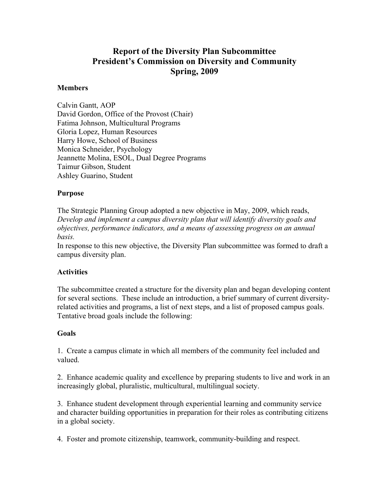## **Report of the Diversity Plan Subcommittee President's Commission on Diversity and Community Spring, 2009**

#### **Members**

Calvin Gantt, AOP David Gordon, Office of the Provost (Chair) Fatima Johnson, Multicultural Programs Gloria Lopez, Human Resources Harry Howe, School of Business Monica Schneider, Psychology Jeannette Molina, ESOL, Dual Degree Programs Taimur Gibson, Student Ashley Guarino, Student

#### **Purpose**

The Strategic Planning Group adopted a new objective in May, 2009, which reads, *Develop and implement a campus diversity plan that will identify diversity goals and objectives, performance indicators, and a means of assessing progress on an annual basis.*

In response to this new objective, the Diversity Plan subcommittee was formed to draft a campus diversity plan.

#### **Activities**

The subcommittee created a structure for the diversity plan and began developing content for several sections. These include an introduction, a brief summary of current diversityrelated activities and programs, a list of next steps, and a list of proposed campus goals. Tentative broad goals include the following:

#### **Goals**

1. Create a campus climate in which all members of the community feel included and valued.

2. Enhance academic quality and excellence by preparing students to live and work in an increasingly global, pluralistic, multicultural, multilingual society.

3. Enhance student development through experiential learning and community service and character building opportunities in preparation for their roles as contributing citizens in a global society.

4. Foster and promote citizenship, teamwork, community-building and respect.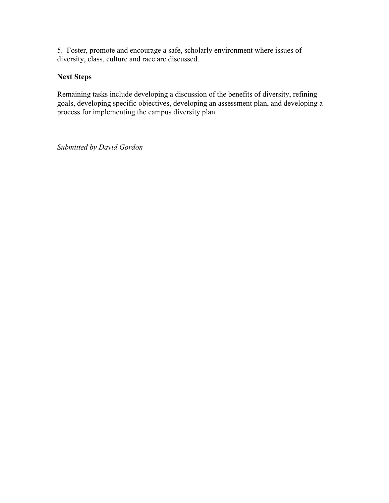5. Foster, promote and encourage a safe, scholarly environment where issues of diversity, class, culture and race are discussed.

## **Next Steps**

Remaining tasks include developing a discussion of the benefits of diversity, refining goals, developing specific objectives, developing an assessment plan, and developing a process for implementing the campus diversity plan.

*Submitted by David Gordon*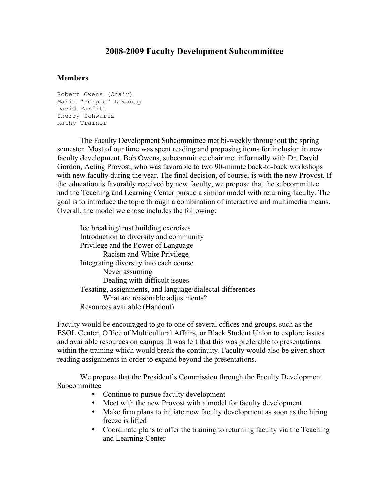## **2008-2009 Faculty Development Subcommittee**

#### **Members**

```
Robert Owens (Chair)
Maria "Perpie" Liwanag
David Parfitt
Sherry Schwartz
Kathy Trainor
```
The Faculty Development Subcommittee met bi-weekly throughout the spring semester. Most of our time was spent reading and proposing items for inclusion in new faculty development. Bob Owens, subcommittee chair met informally with Dr. David Gordon, Acting Provost, who was favorable to two 90-minute back-to-back workshops with new faculty during the year. The final decision, of course, is with the new Provost. If the education is favorably received by new faculty, we propose that the subcommittee and the Teaching and Learning Center pursue a similar model with returning faculty. The goal is to introduce the topic through a combination of interactive and multimedia means. Overall, the model we chose includes the following:

Ice breaking/trust building exercises Introduction to diversity and community Privilege and the Power of Language Racism and White Privilege Integrating diversity into each course Never assuming Dealing with difficult issues Tesating, assignments, and language/dialectal differences What are reasonable adjustments? Resources available (Handout)

Faculty would be encouraged to go to one of several offices and groups, such as the ESOL Center, Office of Multicultural Affairs, or Black Student Union to explore issues and available resources on campus. It was felt that this was preferable to presentations within the training which would break the continuity. Faculty would also be given short reading assignments in order to expand beyond the presentations.

We propose that the President's Commission through the Faculty Development Subcommittee

- Continue to pursue faculty development
- Meet with the new Provost with a model for faculty development
- Make firm plans to initiate new faculty development as soon as the hiring freeze is lifted
- Coordinate plans to offer the training to returning faculty via the Teaching and Learning Center